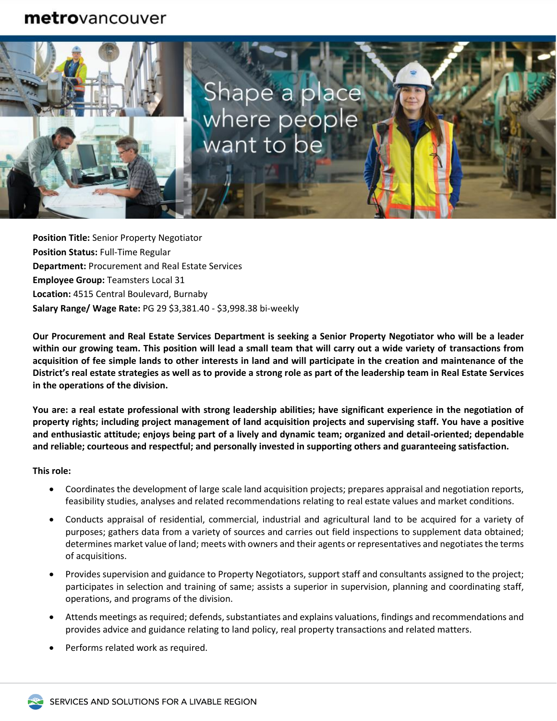## metrovancouver



**Position Title:** Senior Property Negotiator **Position Status:** Full-Time Regular **Department:** Procurement and Real Estate Services **Employee Group:** Teamsters Local 31 **Location:** 4515 Central Boulevard, Burnaby **Salary Range/ Wage Rate:** PG 29 \$3,381.40 - \$3,998.38 bi-weekly

**Our Procurement and Real Estate Services Department is seeking a Senior Property Negotiator who will be a leader within our growing team. This position will lead a small team that will carry out a wide variety of transactions from acquisition of fee simple lands to other interests in land and will participate in the creation and maintenance of the District's real estate strategies as well as to provide a strong role as part of the leadership team in Real Estate Services in the operations of the division.** 

**You are: a real estate professional with strong leadership abilities; have significant experience in the negotiation of property rights; including project management of land acquisition projects and supervising staff. You have a positive and enthusiastic attitude; enjoys being part of a lively and dynamic team; organized and detail-oriented; dependable and reliable; courteous and respectful; and personally invested in supporting others and guaranteeing satisfaction.**

**This role:**

- Coordinates the development of large scale land acquisition projects; prepares appraisal and negotiation reports, feasibility studies, analyses and related recommendations relating to real estate values and market conditions.
- Conducts appraisal of residential, commercial, industrial and agricultural land to be acquired for a variety of purposes; gathers data from a variety of sources and carries out field inspections to supplement data obtained; determines market value of land; meets with owners and their agents or representatives and negotiates the terms of acquisitions.
- Provides supervision and guidance to Property Negotiators, support staff and consultants assigned to the project; participates in selection and training of same; assists a superior in supervision, planning and coordinating staff, operations, and programs of the division.
- Attends meetings as required; defends, substantiates and explains valuations, findings and recommendations and provides advice and guidance relating to land policy, real property transactions and related matters.
- Performs related work as required.